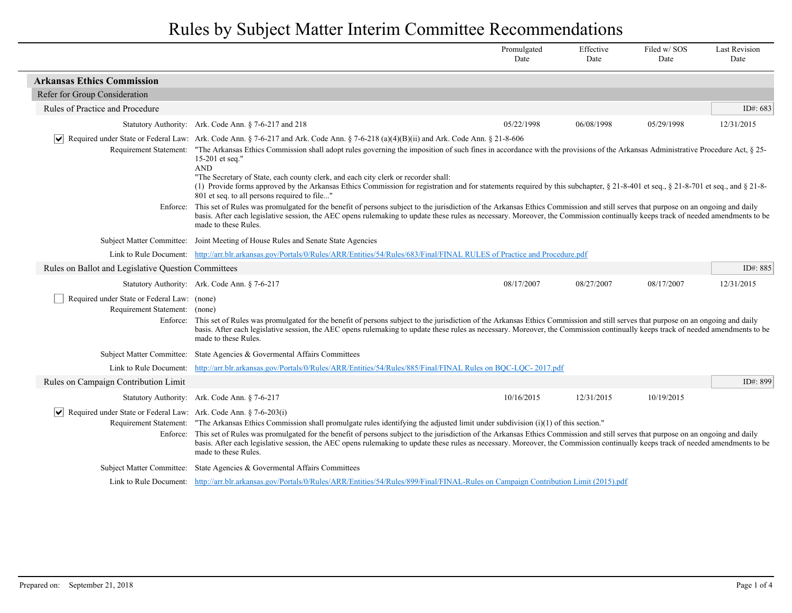|                                                                                 |                                                                                                                                                                                                                                                                                                                                                                                                                                                                                                                                                                                                                                                                                                                                      | Promulgated<br>Date | Effective<br>Date | Filed w/SOS<br>Date | <b>Last Revision</b><br>Date |  |
|---------------------------------------------------------------------------------|--------------------------------------------------------------------------------------------------------------------------------------------------------------------------------------------------------------------------------------------------------------------------------------------------------------------------------------------------------------------------------------------------------------------------------------------------------------------------------------------------------------------------------------------------------------------------------------------------------------------------------------------------------------------------------------------------------------------------------------|---------------------|-------------------|---------------------|------------------------------|--|
| <b>Arkansas Ethics Commission</b>                                               |                                                                                                                                                                                                                                                                                                                                                                                                                                                                                                                                                                                                                                                                                                                                      |                     |                   |                     |                              |  |
| Refer for Group Consideration                                                   |                                                                                                                                                                                                                                                                                                                                                                                                                                                                                                                                                                                                                                                                                                                                      |                     |                   |                     |                              |  |
| Rules of Practice and Procedure                                                 |                                                                                                                                                                                                                                                                                                                                                                                                                                                                                                                                                                                                                                                                                                                                      |                     |                   |                     | ID#: 683                     |  |
|                                                                                 | Statutory Authority: Ark. Code Ann. § 7-6-217 and 218                                                                                                                                                                                                                                                                                                                                                                                                                                                                                                                                                                                                                                                                                | 05/22/1998          | 06/08/1998        | 05/29/1998          | 12/31/2015                   |  |
|                                                                                 | $\vert \checkmark \vert$ Required under State or Federal Law: Ark. Code Ann. § 7-6-217 and Ark. Code Ann. § 7-6-218 (a)(4)(B)(ii) and Ark. Code Ann. § 21-8-606<br>Requirement Statement: "The Arkansas Ethics Commission shall adopt rules governing the imposition of such fines in accordance with the provisions of the Arkansas Administrative Procedure Act, § 25-<br>15-201 et seq."<br><b>AND</b><br>"The Secretary of State, each county clerk, and each city clerk or recorder shall:<br>(1) Provide forms approved by the Arkansas Ethics Commission for registration and for statements required by this subchapter, § 21-8-401 et seq., § 21-8-701 et seq., and § 21-8-<br>801 et seq. to all persons required to file" |                     |                   |                     |                              |  |
|                                                                                 | Enforce: This set of Rules was promulgated for the benefit of persons subject to the jurisdiction of the Arkansas Ethics Commission and still serves that purpose on an ongoing and daily<br>basis. After each legislative session, the AEC opens rulemaking to update these rules as necessary. Moreover, the Commission continually keeps track of needed amendments to be<br>made to these Rules.                                                                                                                                                                                                                                                                                                                                 |                     |                   |                     |                              |  |
|                                                                                 | Subject Matter Committee: Joint Meeting of House Rules and Senate State Agencies                                                                                                                                                                                                                                                                                                                                                                                                                                                                                                                                                                                                                                                     |                     |                   |                     |                              |  |
|                                                                                 | Link to Rule Document: http://arr.blr.arkansas.gov/Portals/0/Rules/ARR/Entities/54/Rules/683/Final/FINAL RULES of Practice and Procedure.pdf                                                                                                                                                                                                                                                                                                                                                                                                                                                                                                                                                                                         |                     |                   |                     |                              |  |
| Rules on Ballot and Legislative Question Committees                             |                                                                                                                                                                                                                                                                                                                                                                                                                                                                                                                                                                                                                                                                                                                                      |                     |                   |                     | ID#: $885$                   |  |
|                                                                                 | Statutory Authority: Ark. Code Ann. § 7-6-217                                                                                                                                                                                                                                                                                                                                                                                                                                                                                                                                                                                                                                                                                        | 08/17/2007          | 08/27/2007        | 08/17/2007          | 12/31/2015                   |  |
| Required under State or Federal Law: (none)<br>Requirement Statement: (none)    | Enforce: This set of Rules was promulgated for the benefit of persons subject to the jurisdiction of the Arkansas Ethics Commission and still serves that purpose on an ongoing and daily<br>basis. After each legislative session, the AEC opens rulemaking to update these rules as necessary. Moreover, the Commission continually keeps track of needed amendments to be<br>made to these Rules.                                                                                                                                                                                                                                                                                                                                 |                     |                   |                     |                              |  |
|                                                                                 | Subject Matter Committee: State Agencies & Governental Affairs Committees                                                                                                                                                                                                                                                                                                                                                                                                                                                                                                                                                                                                                                                            |                     |                   |                     |                              |  |
| Link to Rule Document:                                                          | http://arr.blr.arkansas.gov/Portals/0/Rules/ARR/Entities/54/Rules/885/Final/FINAL Rules on BQC-LQC-2017.pdf                                                                                                                                                                                                                                                                                                                                                                                                                                                                                                                                                                                                                          |                     |                   |                     |                              |  |
| Rules on Campaign Contribution Limit                                            |                                                                                                                                                                                                                                                                                                                                                                                                                                                                                                                                                                                                                                                                                                                                      |                     |                   |                     | ID#: 899                     |  |
|                                                                                 | Statutory Authority: Ark. Code Ann. § 7-6-217                                                                                                                                                                                                                                                                                                                                                                                                                                                                                                                                                                                                                                                                                        | 10/16/2015          | 12/31/2015        | 10/19/2015          |                              |  |
| $ \mathbf{v} $ Required under State or Federal Law: Ark. Code Ann. § 7-6-203(i) | Requirement Statement: "The Arkansas Ethics Commission shall promulgate rules identifying the adjusted limit under subdivision (i)(1) of this section."<br>Enforce: This set of Rules was promulgated for the benefit of persons subject to the jurisdiction of the Arkansas Ethics Commission and still serves that purpose on an ongoing and daily<br>basis. After each legislative session, the AEC opens rulemaking to update these rules as necessary. Moreover, the Commission continually keeps track of needed amendments to be<br>made to these Rules.                                                                                                                                                                      |                     |                   |                     |                              |  |
|                                                                                 | Subject Matter Committee: State Agencies & Governental Affairs Committees                                                                                                                                                                                                                                                                                                                                                                                                                                                                                                                                                                                                                                                            |                     |                   |                     |                              |  |
|                                                                                 | Link to Rule Document: http://arr.blr.arkansas.gov/Portals/0/Rules/ARR/Entities/54/Rules/899/Final/FINAL-Rules on Campaign Contribution Limit (2015).pdf                                                                                                                                                                                                                                                                                                                                                                                                                                                                                                                                                                             |                     |                   |                     |                              |  |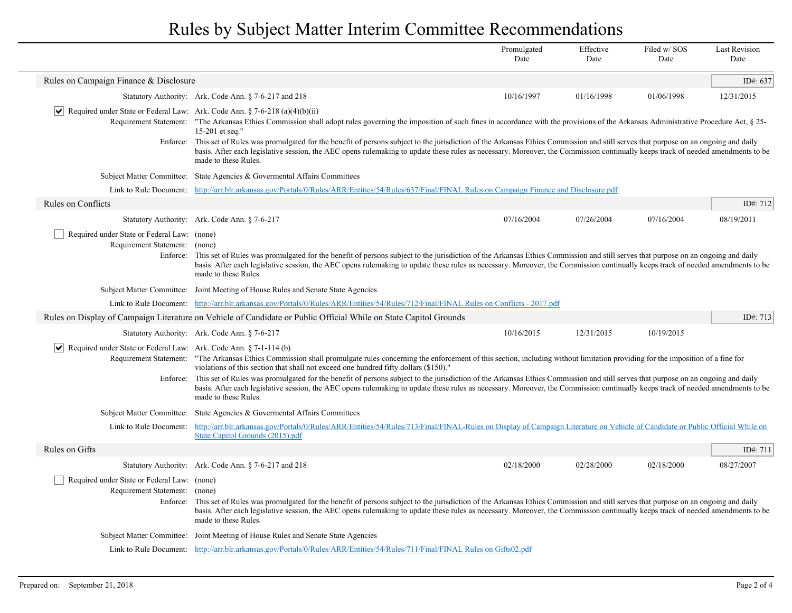|                                                                                          |                                                                                                                                                                                                                                                                                                                                                                                                      | Promulgated<br>Date | Effective<br>Date | Filed w/SOS<br>Date | <b>Last Revision</b><br>Date |
|------------------------------------------------------------------------------------------|------------------------------------------------------------------------------------------------------------------------------------------------------------------------------------------------------------------------------------------------------------------------------------------------------------------------------------------------------------------------------------------------------|---------------------|-------------------|---------------------|------------------------------|
| Rules on Campaign Finance & Disclosure                                                   |                                                                                                                                                                                                                                                                                                                                                                                                      |                     |                   |                     | ID#: 637                     |
|                                                                                          | Statutory Authority: Ark. Code Ann. § 7-6-217 and 218                                                                                                                                                                                                                                                                                                                                                | 10/16/1997          | 01/16/1998        | 01/06/1998          | 12/31/2015                   |
| $ \bm{\mathsf{v}} $                                                                      | Required under State or Federal Law: Ark. Code Ann. § 7-6-218 (a)(4)(b)(ii)<br>Requirement Statement: "The Arkansas Ethics Commission shall adopt rules governing the imposition of such fines in accordance with the provisions of the Arkansas Administrative Procedure Act, § 25-<br>15-201 et seq."                                                                                              |                     |                   |                     |                              |
|                                                                                          | Enforce: This set of Rules was promulgated for the benefit of persons subject to the jurisdiction of the Arkansas Ethics Commission and still serves that purpose on an ongoing and daily<br>basis. After each legislative session, the AEC opens rulemaking to update these rules as necessary. Moreover, the Commission continually keeps track of needed amendments to be<br>made to these Rules. |                     |                   |                     |                              |
|                                                                                          | Subject Matter Committee: State Agencies & Governental Affairs Committees                                                                                                                                                                                                                                                                                                                            |                     |                   |                     |                              |
|                                                                                          | Link to Rule Document: http://arr.blr.arkansas.gov/Portals/0/Rules/ARR/Entities/54/Rules/637/Final/FINAL Rules on Campaign Finance and Disclosure.pdf                                                                                                                                                                                                                                                |                     |                   |                     |                              |
| <b>Rules on Conflicts</b>                                                                |                                                                                                                                                                                                                                                                                                                                                                                                      |                     |                   |                     | ID#: 712                     |
|                                                                                          | Statutory Authority: Ark. Code Ann. § 7-6-217                                                                                                                                                                                                                                                                                                                                                        | 07/16/2004          | 07/26/2004        | 07/16/2004          | 08/19/2011                   |
| Required under State or Federal Law: (none)<br>Requirement Statement: (none)<br>Enforce: | This set of Rules was promulgated for the benefit of persons subject to the jurisdiction of the Arkansas Ethics Commission and still serves that purpose on an ongoing and daily<br>basis. After each legislative session, the AEC opens rulemaking to update these rules as necessary. Moreover, the Commission continually keeps track of needed amendments to be<br>made to these Rules.          |                     |                   |                     |                              |
|                                                                                          | Subject Matter Committee: Joint Meeting of House Rules and Senate State Agencies                                                                                                                                                                                                                                                                                                                     |                     |                   |                     |                              |
|                                                                                          | Link to Rule Document: http://arr.blr.arkansas.gov/Portals/0/Rules/ARR/Entities/54/Rules/712/Final/FINAL Rules on Conflicts - 2017.pdf                                                                                                                                                                                                                                                               |                     |                   |                     |                              |
|                                                                                          | Rules on Display of Campaign Literature on Vehicle of Candidate or Public Official While on State Capitol Grounds                                                                                                                                                                                                                                                                                    |                     |                   |                     | ID#: 713                     |
|                                                                                          | Statutory Authority: Ark. Code Ann. § 7-6-217                                                                                                                                                                                                                                                                                                                                                        | 10/16/2015          | 12/31/2015        | 10/19/2015          |                              |
| $ \bm{\mathsf{v}} $<br>Required under State or Federal Law: Ark. Code Ann. § 7-1-114 (b) | Requirement Statement: "The Arkansas Ethics Commission shall promulgate rules concerning the enforcement of this section, including without limitation providing for the imposition of a fine for<br>violations of this section that shall not exceed one hundred fifty dollars (\$150)."                                                                                                            |                     |                   |                     |                              |
|                                                                                          | Enforce: This set of Rules was promulgated for the benefit of persons subject to the jurisdiction of the Arkansas Ethics Commission and still serves that purpose on an ongoing and daily<br>basis. After each legislative session, the AEC opens rulemaking to update these rules as necessary. Moreover, the Commission continually keeps track of needed amendments to be<br>made to these Rules. |                     |                   |                     |                              |
|                                                                                          | Subject Matter Committee: State Agencies & Governental Affairs Committees                                                                                                                                                                                                                                                                                                                            |                     |                   |                     |                              |
| Link to Rule Document:                                                                   | http://arr.blr.arkansas.gov/Portals/0/Rules/ARR/Entities/54/Rules/713/Final/FINAL-Rules on Display of Campaign Literature on Vehicle of Candidate or Public Official While on<br>State Capitol Grounds (2015).pdf                                                                                                                                                                                    |                     |                   |                     |                              |
| Rules on Gifts                                                                           |                                                                                                                                                                                                                                                                                                                                                                                                      |                     |                   |                     | ID#: 711                     |
|                                                                                          | Statutory Authority: Ark. Code Ann. § 7-6-217 and 218                                                                                                                                                                                                                                                                                                                                                | 02/18/2000          | 02/28/2000        | 02/18/2000          | 08/27/2007                   |
| Required under State or Federal Law: (none)<br>Requirement Statement: (none)             | Enforce: This set of Rules was promulgated for the benefit of persons subject to the jurisdiction of the Arkansas Ethics Commission and still serves that purpose on an ongoing and daily<br>basis. After each legislative session, the AEC opens rulemaking to update these rules as necessary. Moreover, the Commission continually keeps track of needed amendments to be<br>made to these Rules. |                     |                   |                     |                              |
|                                                                                          | Subject Matter Committee: Joint Meeting of House Rules and Senate State Agencies                                                                                                                                                                                                                                                                                                                     |                     |                   |                     |                              |
|                                                                                          | Link to Rule Document: http://arr.blr.arkansas.gov/Portals/0/Rules/ARR/Entities/54/Rules/711/Final/FINAL Rules on Gifts02.pdf                                                                                                                                                                                                                                                                        |                     |                   |                     |                              |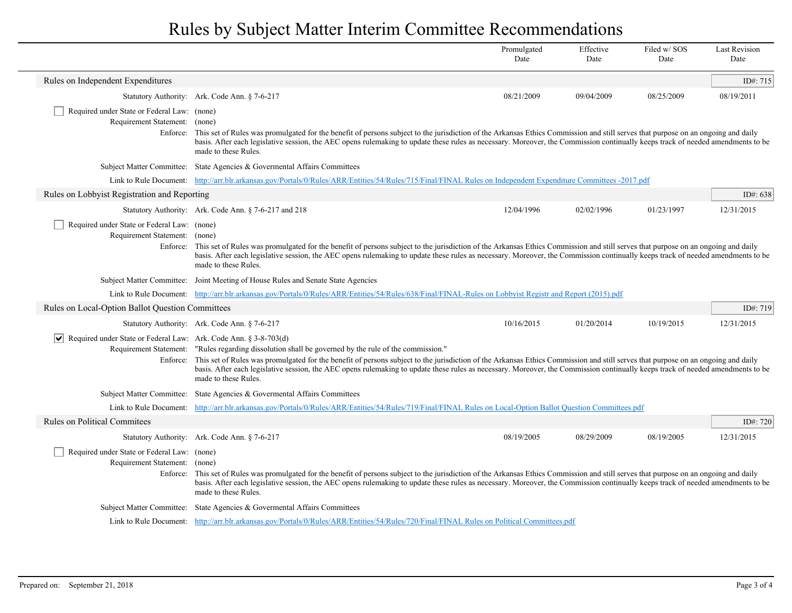|                                                                                            |                                                                                                                                                                                                                                                                                                                                                                                                                                                                                                               | Promulgated<br>Date | Effective<br>Date | Filed w/SOS<br>Date | <b>Last Revision</b><br>Date |
|--------------------------------------------------------------------------------------------|---------------------------------------------------------------------------------------------------------------------------------------------------------------------------------------------------------------------------------------------------------------------------------------------------------------------------------------------------------------------------------------------------------------------------------------------------------------------------------------------------------------|---------------------|-------------------|---------------------|------------------------------|
| Rules on Independent Expenditures                                                          |                                                                                                                                                                                                                                                                                                                                                                                                                                                                                                               |                     |                   |                     | ID#: 715                     |
|                                                                                            | Statutory Authority: Ark. Code Ann. § 7-6-217                                                                                                                                                                                                                                                                                                                                                                                                                                                                 | 08/21/2009          | 09/04/2009        | 08/25/2009          | 08/19/2011                   |
| Required under State or Federal Law: (none)<br>Requirement Statement: (none)               | Enforce: This set of Rules was promulgated for the benefit of persons subject to the jurisdiction of the Arkansas Ethics Commission and still serves that purpose on an ongoing and daily<br>basis. After each legislative session, the AEC opens rulemaking to update these rules as necessary. Moreover, the Commission continually keeps track of needed amendments to be<br>made to these Rules.                                                                                                          |                     |                   |                     |                              |
|                                                                                            | Subject Matter Committee: State Agencies & Governental Affairs Committees                                                                                                                                                                                                                                                                                                                                                                                                                                     |                     |                   |                     |                              |
|                                                                                            | Link to Rule Document: http://arr.blr.arkansas.gov/Portals/0/Rules/ARR/Entities/54/Rules/715/Final/FINAL Rules on Independent Expenditure Committees -2017.pdf                                                                                                                                                                                                                                                                                                                                                |                     |                   |                     |                              |
| Rules on Lobbyist Registration and Reporting                                               |                                                                                                                                                                                                                                                                                                                                                                                                                                                                                                               |                     |                   |                     | ID#: $638$                   |
|                                                                                            | Statutory Authority: Ark. Code Ann. § 7-6-217 and 218                                                                                                                                                                                                                                                                                                                                                                                                                                                         | 12/04/1996          | 02/02/1996        | 01/23/1997          | 12/31/2015                   |
| Required under State or Federal Law: (none)<br>Requirement Statement: (none)               | Enforce: This set of Rules was promulgated for the benefit of persons subject to the jurisdiction of the Arkansas Ethics Commission and still serves that purpose on an ongoing and daily<br>basis. After each legislative session, the AEC opens rulemaking to update these rules as necessary. Moreover, the Commission continually keeps track of needed amendments to be<br>made to these Rules.                                                                                                          |                     |                   |                     |                              |
|                                                                                            | Subject Matter Committee: Joint Meeting of House Rules and Senate State Agencies                                                                                                                                                                                                                                                                                                                                                                                                                              |                     |                   |                     |                              |
|                                                                                            | Link to Rule Document: http://arr.blr.arkansas.gov/Portals/0/Rules/ARR/Entities/54/Rules/638/Final/FINAL-Rules on Lobbyist Registr and Report (2015).pdf                                                                                                                                                                                                                                                                                                                                                      |                     |                   |                     |                              |
| Rules on Local-Option Ballot Question Committees                                           |                                                                                                                                                                                                                                                                                                                                                                                                                                                                                                               |                     |                   |                     | ID#: 719                     |
|                                                                                            | Statutory Authority: Ark. Code Ann. § 7-6-217                                                                                                                                                                                                                                                                                                                                                                                                                                                                 | 10/16/2015          | 01/20/2014        | 10/19/2015          | 12/31/2015                   |
| $\vert \bm \vee \vert$<br>Required under State or Federal Law: Ark. Code Ann. § 3-8-703(d) | Requirement Statement: "Rules regarding dissolution shall be governed by the rule of the commission."<br>Enforce: This set of Rules was promulgated for the benefit of persons subject to the jurisdiction of the Arkansas Ethics Commission and still serves that purpose on an ongoing and daily<br>basis. After each legislative session, the AEC opens rulemaking to update these rules as necessary. Moreover, the Commission continually keeps track of needed amendments to be<br>made to these Rules. |                     |                   |                     |                              |
|                                                                                            | Subject Matter Committee: State Agencies & Governental Affairs Committees                                                                                                                                                                                                                                                                                                                                                                                                                                     |                     |                   |                     |                              |
|                                                                                            | Link to Rule Document: http://arr.blr.arkansas.gov/Portals/0/Rules/ARR/Entities/54/Rules/719/Final/FINAL Rules on Local-Option Ballot Question Committees.pdf                                                                                                                                                                                                                                                                                                                                                 |                     |                   |                     |                              |
| <b>Rules on Political Commitees</b>                                                        |                                                                                                                                                                                                                                                                                                                                                                                                                                                                                                               |                     |                   |                     | ID#: $720$                   |
|                                                                                            | Statutory Authority: Ark. Code Ann. § 7-6-217                                                                                                                                                                                                                                                                                                                                                                                                                                                                 | 08/19/2005          | 08/29/2009        | 08/19/2005          | 12/31/2015                   |
| Required under State or Federal Law: (none)<br>Requirement Statement: (none)               | Enforce: This set of Rules was promulgated for the benefit of persons subject to the jurisdiction of the Arkansas Ethics Commission and still serves that purpose on an ongoing and daily<br>basis. After each legislative session, the AEC opens rulemaking to update these rules as necessary. Moreover, the Commission continually keeps track of needed amendments to be<br>made to these Rules.                                                                                                          |                     |                   |                     |                              |
|                                                                                            | Subject Matter Committee: State Agencies & Governental Affairs Committees                                                                                                                                                                                                                                                                                                                                                                                                                                     |                     |                   |                     |                              |
|                                                                                            | Link to Rule Document: http://arr.blr.arkansas.gov/Portals/0/Rules/ARR/Entities/54/Rules/720/Final/FINAL Rules on Political Committees.pdf                                                                                                                                                                                                                                                                                                                                                                    |                     |                   |                     |                              |

 $\overline{\phantom{a}}$